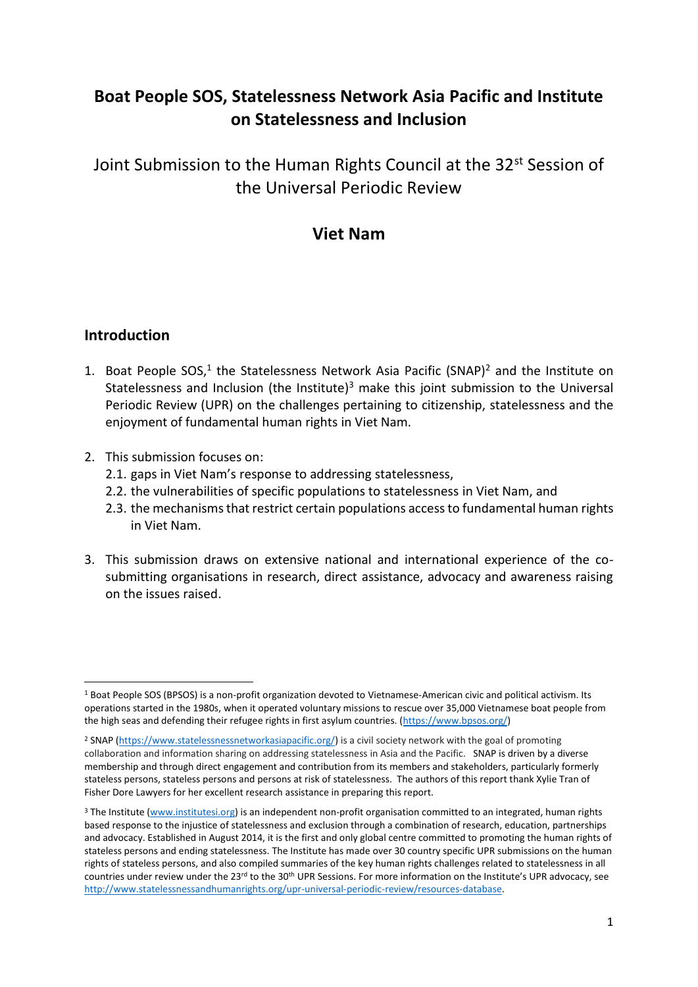# **Boat People SOS, Statelessness Network Asia Pacific and Institute on Statelessness and Inclusion**

Joint Submission to the Human Rights Council at the 32<sup>st</sup> Session of the Universal Periodic Review

## **Viet Nam**

### **Introduction**

- 1. Boat People SOS,<sup>1</sup> the Statelessness Network Asia Pacific (SNAP)<sup>2</sup> and the Institute on Statelessness and Inclusion (the Institute) $3$  make this joint submission to the Universal Periodic Review (UPR) on the challenges pertaining to citizenship, statelessness and the enjoyment of fundamental human rights in Viet Nam.
- 2. This submission focuses on:
	- 2.1. gaps in Viet Nam's response to addressing statelessness,
	- 2.2. the vulnerabilities of specific populations to statelessness in Viet Nam, and
	- 2.3. the mechanisms that restrict certain populations accessto fundamental human rights in Viet Nam.
- 3. This submission draws on extensive national and international experience of the cosubmitting organisations in research, direct assistance, advocacy and awareness raising on the issues raised.

<sup>1</sup> Boat People SOS (BPSOS) is a non-profit organization devoted to Vietnamese-American civic and political activism. Its operations started in the 1980s, when it operated voluntary missions to rescue over 35,000 Vietnamese boat people from the high seas and defending their refugee rights in first asylum countries. [\(https://www.bpsos.org/\)](https://www.bpsos.org/)

<sup>2</sup> SNAP [\(https://www.statelessnessnetworkasiapacific.org/\)](https://www.statelessnessnetworkasiapacific.org/) is a civil society network with the goal of promoting collaboration and information sharing on addressing statelessness in Asia and the Pacific. SNAP is driven by a diverse membership and through direct engagement and contribution from its members and stakeholders, particularly formerly stateless persons, stateless persons and persons at risk of statelessness. The authors of this report thank Xylie Tran of Fisher Dore Lawyers for her excellent research assistance in preparing this report.

<sup>&</sup>lt;sup>3</sup> The Institute [\(www.institutesi.org\)](http://www.institutesi.org/) is an independent non-profit organisation committed to an integrated, human rights based response to the injustice of statelessness and exclusion through a combination of research, education, partnerships and advocacy. Established in August 2014, it is the first and only global centre committed to promoting the human rights of stateless persons and ending statelessness. The Institute has made over 30 country specific UPR submissions on the human rights of stateless persons, and also compiled summaries of the key human rights challenges related to statelessness in all countries under review under the 23rd to the 30<sup>th</sup> UPR Sessions. For more information on the Institute's UPR advocacy, see [http://www.statelessnessandhumanrights.org/upr-universal-periodic-review/resources-database.](http://www.institutesi.org/ourwork/humanrights.php)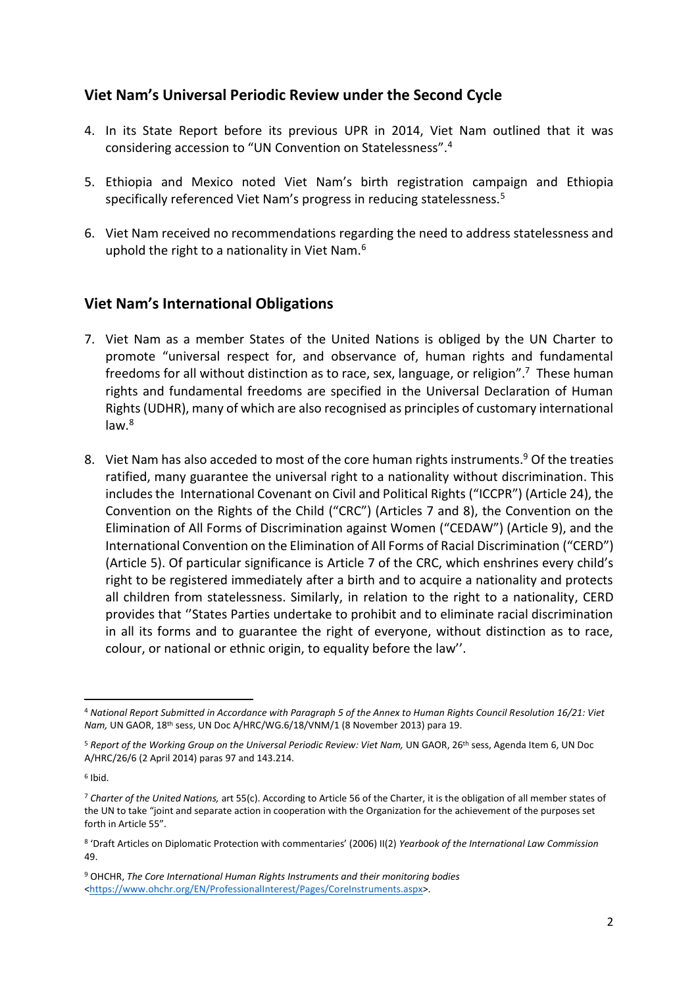### **Viet Nam's Universal Periodic Review under the Second Cycle**

- 4. In its State Report before its previous UPR in 2014, Viet Nam outlined that it was considering accession to "UN Convention on Statelessness".<sup>4</sup>
- 5. Ethiopia and Mexico noted Viet Nam's birth registration campaign and Ethiopia specifically referenced Viet Nam's progress in reducing statelessness.<sup>5</sup>
- 6. Viet Nam received no recommendations regarding the need to address statelessness and uphold the right to a nationality in Viet Nam.<sup>6</sup>

### **Viet Nam's International Obligations**

- 7. Viet Nam as a member States of the United Nations is obliged by the UN Charter to promote "universal respect for, and observance of, human rights and fundamental freedoms for all without distinction as to race, sex, language, or religion".<sup>7</sup> These human rights and fundamental freedoms are specified in the Universal Declaration of Human Rights (UDHR), many of which are also recognised as principles of customary international law.<sup>8</sup>
- 8. Viet Nam has also acceded to most of the core human rights instruments.<sup>9</sup> Of the treaties ratified, many guarantee the universal right to a nationality without discrimination. This includes the International Covenant on Civil and Political Rights ("ICCPR") (Article 24), the Convention on the Rights of the Child ("CRC") (Articles 7 and 8), the Convention on the Elimination of All Forms of Discrimination against Women ("CEDAW") (Article 9), and the International Convention on the Elimination of All Forms of Racial Discrimination ("CERD") (Article 5). Of particular significance is Article 7 of the CRC, which enshrines every child's right to be registered immediately after a birth and to acquire a nationality and protects all children from statelessness. Similarly, in relation to the right to a nationality, CERD provides that ''States Parties undertake to prohibit and to eliminate racial discrimination in all its forms and to guarantee the right of everyone, without distinction as to race, colour, or national or ethnic origin, to equality before the law''.

<sup>4</sup> *National Report Submitted in Accordance with Paragraph 5 of the Annex to Human Rights Council Resolution 16/21: Viet Nam,* UN GAOR, 18th sess, UN Doc A/HRC/WG.6/18/VNM/1 (8 November 2013) para 19.

<sup>&</sup>lt;sup>5</sup> Report of the Working Group on the Universal Periodic Review: Viet Nam, UN GAOR, 26<sup>th</sup> sess, Agenda Item 6, UN Doc A/HRC/26/6 (2 April 2014) paras 97 and 143.214.

<sup>6</sup> Ibid.

<sup>7</sup> *Charter of the United Nations,* art 55(c). According to Article 56 of the Charter, it is the obligation of all member states of the UN to take "joint and separate action in cooperation with the Organization for the achievement of the purposes set forth in Article 55".

<sup>8</sup> 'Draft Articles on Diplomatic Protection with commentaries' (2006) II(2) *Yearbook of the International Law Commission*  49.

<sup>9</sup> OHCHR, *The Core International Human Rights Instruments and their monitoring bodies*  [<https://www.ohchr.org/EN/ProfessionalInterest/Pages/CoreInstruments.aspx>](https://www.ohchr.org/EN/ProfessionalInterest/Pages/CoreInstruments.aspx).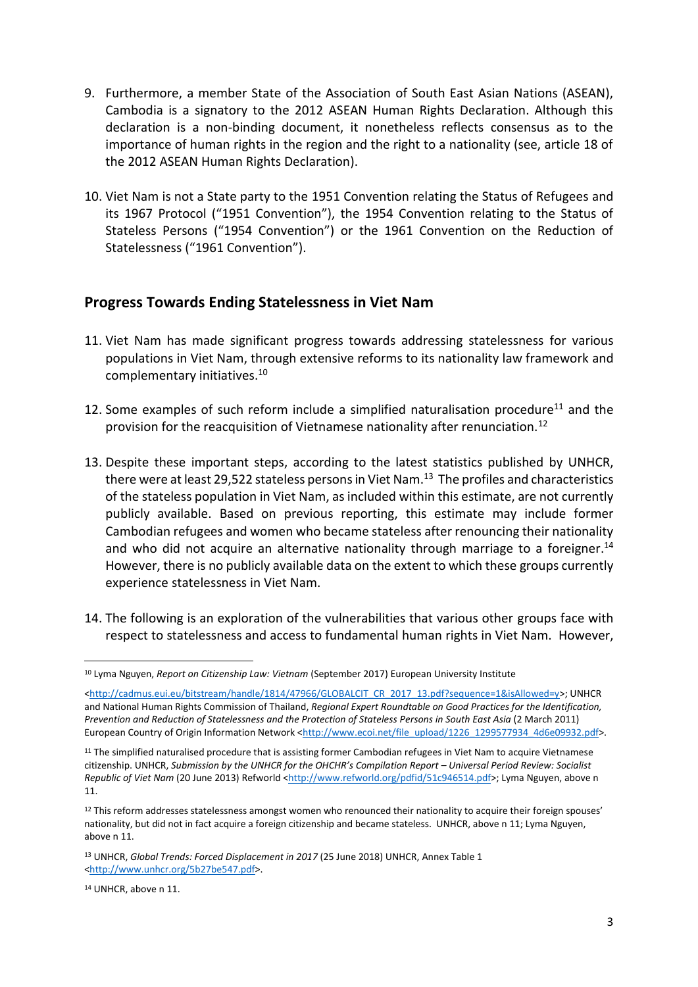- 9. Furthermore, a member State of the Association of South East Asian Nations (ASEAN), Cambodia is a signatory to the 2012 ASEAN Human Rights Declaration. Although this declaration is a non-binding document, it nonetheless reflects consensus as to the importance of human rights in the region and the right to a nationality (see, article 18 of the 2012 ASEAN Human Rights Declaration).
- 10. Viet Nam is not a State party to the 1951 Convention relating the Status of Refugees and its 1967 Protocol ("1951 Convention"), the 1954 Convention relating to the Status of Stateless Persons ("1954 Convention") or the 1961 Convention on the Reduction of Statelessness ("1961 Convention").

### **Progress Towards Ending Statelessness in Viet Nam**

- 11. Viet Nam has made significant progress towards addressing statelessness for various populations in Viet Nam, through extensive reforms to its nationality law framework and complementary initiatives. 10
- 12. Some examples of such reform include a simplified naturalisation procedure<sup>11</sup> and the provision for the reacquisition of Vietnamese nationality after renunciation.<sup>12</sup>
- 13. Despite these important steps, according to the latest statistics published by UNHCR, there were at least 29,522 stateless persons in Viet Nam.<sup>13</sup> The profiles and characteristics of the stateless population in Viet Nam, as included within this estimate, are not currently publicly available. Based on previous reporting, this estimate may include former Cambodian refugees and women who became stateless after renouncing their nationality and who did not acquire an alternative nationality through marriage to a foreigner.<sup>14</sup> However, there is no publicly available data on the extent to which these groups currently experience statelessness in Viet Nam.
- 14. The following is an exploration of the vulnerabilities that various other groups face with respect to statelessness and access to fundamental human rights in Viet Nam. However,

**<sup>.</sup>** <sup>10</sup> Lyma Nguyen, *Report on Citizenship Law: Vietnam* (September 2017) European University Institute

[<sup>&</sup>lt;http://cadmus.eui.eu/bitstream/handle/1814/47966/GLOBALCIT\\_CR\\_2017\\_13.pdf?sequence=1&isAllowed=y>](http://cadmus.eui.eu/bitstream/handle/1814/47966/GLOBALCIT_CR_2017_13.pdf?sequence=1&isAllowed=y); UNHCR and National Human Rights Commission of Thailand, *Regional Expert Roundtable on Good Practices for the Identification, Prevention and Reduction of Statelessness and the Protection of Stateless Persons in South East Asia* (2 March 2011) European Country of Origin Information Network [<http://www.ecoi.net/file\\_upload/1226\\_1299577934\\_4d6e09932.pdf>](http://www.ecoi.net/file_upload/1226_1299577934_4d6e09932.pdf).

<sup>&</sup>lt;sup>11</sup> The simplified naturalised procedure that is assisting former Cambodian refugees in Viet Nam to acquire Vietnamese citizenship. UNHCR, *Submission by the UNHCR for the OHCHR's Compilation Report – Universal Period Review: Socialist Republic of Viet Nam* (20 June 2013) Refworld [<http://www.refworld.org/pdfid/51c946514.pdf>](http://www.refworld.org/pdfid/51c946514.pdf); Lyma Nguyen, above n 11.

 $12$  This reform addresses statelessness amongst women who renounced their nationality to acquire their foreign spouses' nationality, but did not in fact acquire a foreign citizenship and became stateless. UNHCR, above n 11; Lyma Nguyen, above n 11.

<sup>13</sup> UNHCR, *Global Trends: Forced Displacement in 2017* (25 June 2018) UNHCR, Annex Table 1 [<http://www.unhcr.org/5b27be547.pdf>](http://www.unhcr.org/5b27be547.pdf).

<sup>14</sup> UNHCR, above n 11.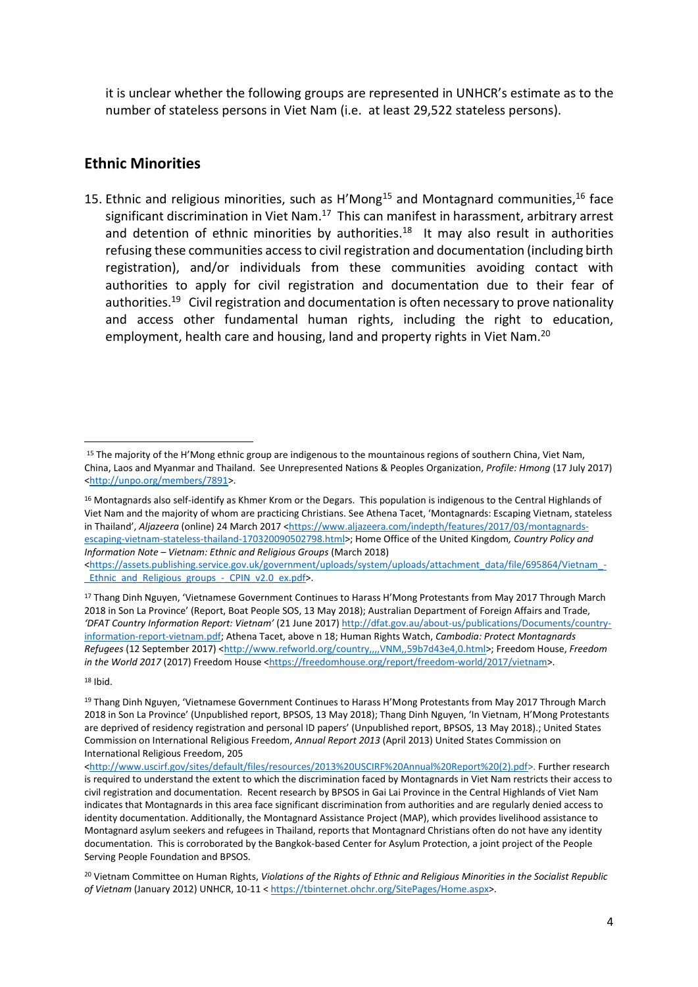it is unclear whether the following groups are represented in UNHCR's estimate as to the number of stateless persons in Viet Nam (i.e. at least 29,522 stateless persons).

#### **Ethnic Minorities**

15. Ethnic and religious minorities, such as  $H'Mong<sup>15</sup>$  and Montagnard communities,<sup>16</sup> face significant discrimination in Viet Nam.<sup>17</sup> This can manifest in harassment, arbitrary arrest and detention of ethnic minorities by authorities.<sup>18</sup> It may also result in authorities refusing these communities access to civil registration and documentation (including birth registration), and/or individuals from these communities avoiding contact with authorities to apply for civil registration and documentation due to their fear of authorities.<sup>19</sup> Civil registration and documentation is often necessary to prove nationality and access other fundamental human rights, including the right to education, employment, health care and housing, land and property rights in Viet Nam.<sup>20</sup>

[<https://assets.publishing.service.gov.uk/government/uploads/system/uploads/attachment\\_data/file/695864/Vietnam\\_-](https://assets.publishing.service.gov.uk/government/uploads/system/uploads/attachment_data/file/695864/Vietnam_-_Ethnic_and_Religious_groups_-_CPIN_v2.0_ex.pdf) Ethnic and Religious groups - CPIN v2.0 ex.pdf>.

<sup>17</sup> Thang Dinh Nguyen, 'Vietnamese Government Continues to Harass H'Mong Protestants from May 2017 Through March 2018 in Son La Province' (Report, Boat People SOS, 13 May 2018); Australian Department of Foreign Affairs and Trade, *'DFAT Country Information Report: Vietnam'* (21 June 2017[\) http://dfat.gov.au/about-us/publications/Documents/country](http://dfat.gov.au/about-us/publications/Documents/country-information-report-vietnam.pdf)[information-report-vietnam.pdf;](http://dfat.gov.au/about-us/publications/Documents/country-information-report-vietnam.pdf) Athena Tacet, above n 18; Human Rights Watch, *Cambodia: Protect Montagnards Refugees* (12 September 2017) [<http://www.refworld.org/country,,,,VNM,,59b7d43e4,0.html>](http://www.refworld.org/country,,,,VNM,,59b7d43e4,0.html); Freedom House, *Freedom in the World 2017* (2017) Freedom House [<https://freedomhouse.org/report/freedom-world/2017/vietnam>](https://freedomhouse.org/report/freedom-world/2017/vietnam).

 $18$  Ibid.

<sup>&</sup>lt;sup>15</sup> The majority of the H'Mong ethnic group are indigenous to the mountainous regions of southern China, Viet Nam, China, Laos and Myanmar and Thailand. See Unrepresented Nations & Peoples Organization, *Profile: Hmong* (17 July 2017) [<http://unpo.org/members/7891>](http://unpo.org/members/7891).

 $16$  Montagnards also self-identify as Khmer Krom or the Degars. This population is indigenous to the Central Highlands of Viet Nam and the majority of whom are practicing Christians. See Athena Tacet, 'Montagnards: Escaping Vietnam, stateless in Thailand', *Aljazeera* (online) 24 March 2017 [<https://www.aljazeera.com/indepth/features/2017/03/montagnards](https://www.aljazeera.com/indepth/features/2017/03/montagnards-escaping-vietnam-stateless-thailand-170320090502798.html)[escaping-vietnam-stateless-thailand-170320090502798.html>](https://www.aljazeera.com/indepth/features/2017/03/montagnards-escaping-vietnam-stateless-thailand-170320090502798.html); Home Office of the United Kingdom*, Country Policy and Information Note – Vietnam: Ethnic and Religious Groups* (March 2018)

<sup>19</sup> Thang Dinh Nguyen, 'Vietnamese Government Continues to Harass H'Mong Protestants from May 2017 Through March 2018 in Son La Province' (Unpublished report, BPSOS, 13 May 2018); Thang Dinh Nguyen, 'In Vietnam, H'Mong Protestants are deprived of residency registration and personal ID papers' (Unpublished report, BPSOS, 13 May 2018).; United States Commission on International Religious Freedom, *Annual Report 2013* (April 2013) United States Commission on International Religious Freedom, 205

[<sup>&</sup>lt;http://www.uscirf.gov/sites/default/files/resources/2013%20USCIRF%20Annual%20Report%20\(2\).pdf>](http://www.uscirf.gov/sites/default/files/resources/2013%20USCIRF%20Annual%20Report%20(2).pdf). Further research is required to understand the extent to which the discrimination faced by Montagnards in Viet Nam restricts their access to civil registration and documentation. Recent research by BPSOS in Gai Lai Province in the Central Highlands of Viet Nam indicates that Montagnards in this area face significant discrimination from authorities and are regularly denied access to identity documentation. Additionally, the Montagnard Assistance Project (MAP), which provides livelihood assistance to Montagnard asylum seekers and refugees in Thailand, reports that Montagnard Christians often do not have any identity documentation. This is corroborated by the Bangkok-based Center for Asylum Protection, a joint project of the People Serving People Foundation and BPSOS.

<sup>20</sup> Vietnam Committee on Human Rights, *Violations of the Rights of Ethnic and Religious Minorities in the Socialist Republic of Vietnam* (January 2012) UNHCR, 10-11 < [https://tbinternet.ohchr.org/SitePages/Home.aspx>](https://tbinternet.ohchr.org/SitePages/Home.aspx).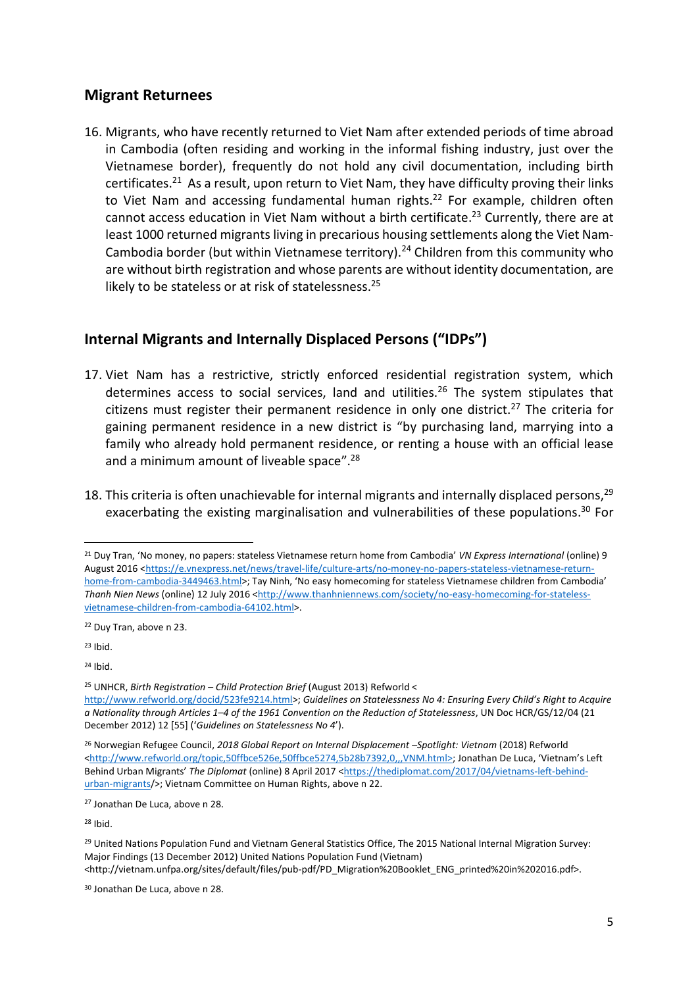### **Migrant Returnees**

16. Migrants, who have recently returned to Viet Nam after extended periods of time abroad in Cambodia (often residing and working in the informal fishing industry, just over the Vietnamese border), frequently do not hold any civil documentation, including birth certificates.<sup>21</sup> As a result, upon return to Viet Nam, they have difficulty proving their links to Viet Nam and accessing fundamental human rights.<sup>22</sup> For example, children often cannot access education in Viet Nam without a birth certificate. <sup>23</sup> Currently, there are at least 1000 returned migrants living in precarious housing settlements along the Viet Nam-Cambodia border (but within Vietnamese territory).<sup>24</sup> Children from this community who are without birth registration and whose parents are without identity documentation, are likely to be stateless or at risk of statelessness.<sup>25</sup>

### **Internal Migrants and Internally Displaced Persons ("IDPs")**

- 17. Viet Nam has a restrictive, strictly enforced residential registration system, which determines access to social services, land and utilities.<sup>26</sup> The system stipulates that citizens must register their permanent residence in only one district.<sup>27</sup> The criteria for gaining permanent residence in a new district is "by purchasing land, marrying into a family who already hold permanent residence, or renting a house with an official lease and a minimum amount of liveable space".<sup>28</sup>
- 18. This criteria is often unachievable for internal migrants and internally displaced persons,<sup>29</sup> exacerbating the existing marginalisation and vulnerabilities of these populations.<sup>30</sup> For

<sup>22</sup> Duy Tran, above n 23.

 $23$  Ihid.

**.** 

 $24$  Ibid.

<sup>25</sup> UNHCR, *Birth Registration – Child Protection Brief* (August 2013) Refworld <

<sup>28</sup> Ibid.

<sup>21</sup> Duy Tran, 'No money, no papers: stateless Vietnamese return home from Cambodia' *VN Express International* (online) 9 August 2016 [<https://e.vnexpress.net/news/travel-life/culture-arts/no-money-no-papers-stateless-vietnamese-return](https://e.vnexpress.net/news/travel-life/culture-arts/no-money-no-papers-stateless-vietnamese-return-home-from-cambodia-3449463.html)[home-from-cambodia-3449463.html>](https://e.vnexpress.net/news/travel-life/culture-arts/no-money-no-papers-stateless-vietnamese-return-home-from-cambodia-3449463.html); Tay Ninh, 'No easy homecoming for stateless Vietnamese children from Cambodia' *Thanh Nien News* (online) 12 July 2016 [<http://www.thanhniennews.com/society/no-easy-homecoming-for-stateless](http://www.thanhniennews.com/society/no-easy-homecoming-for-stateless-vietnamese-children-from-cambodia-64102.html)[vietnamese-children-from-cambodia-64102.html>](http://www.thanhniennews.com/society/no-easy-homecoming-for-stateless-vietnamese-children-from-cambodia-64102.html).

[http://www.refworld.org/docid/523fe9214.html>](http://www.refworld.org/docid/523fe9214.html); *Guidelines on Statelessness No 4: Ensuring Every Child's Right to Acquire a Nationality through Articles 1–4 of the 1961 Convention on the Reduction of Statelessness*, UN Doc HCR/GS/12/04 (21 December 2012) 12 [55] ('*Guidelines on Statelessness No 4*').

<sup>26</sup> Norwegian Refugee Council, *2018 Global Report on Internal Displacement –Spotlight: Vietnam* (2018) Refworld [<http://www.refworld.org/topic,50ffbce526e,50ffbce5274,5b28b7392,0,,,VNM.html>](http://www.refworld.org/topic,50ffbce526e,50ffbce5274,5b28b7392,0,,,VNM.html); Jonathan De Luca, 'Vietnam's Left Behind Urban Migrants' The Diplomat (online) 8 April 2017 [<https://thediplomat.com/2017/04/vietnams-left-behind](file://///fdldc1/homedrives$/DavinaW/Desktop/Jonathan%20De%20Luca,%20‘Vietnam’s%20Left%20Behind%20Urban%20Migrants’%20The%20Diplomat%20(online)%208%20April%202017%20%3chttps:/thediplomat.com/2017/04/vietnams-left-behind-urban-migrants/%3e.)[urban-migrants/](file://///fdldc1/homedrives$/DavinaW/Desktop/Jonathan%20De%20Luca,%20‘Vietnam’s%20Left%20Behind%20Urban%20Migrants’%20The%20Diplomat%20(online)%208%20April%202017%20%3chttps:/thediplomat.com/2017/04/vietnams-left-behind-urban-migrants/%3e.)>; Vietnam Committee on Human Rights, above n 22.

<sup>27</sup> Jonathan De Luca, above n 28.

<sup>&</sup>lt;sup>29</sup> United Nations Population Fund and Vietnam General Statistics Office, The 2015 National Internal Migration Survey: Major Findings (13 December 2012) United Nations Population Fund (Vietnam) <http://vietnam.unfpa.org/sites/default/files/pub-pdf/PD\_Migration%20Booklet\_ENG\_printed%20in%202016.pdf>.

<sup>30</sup> Jonathan De Luca, above n 28.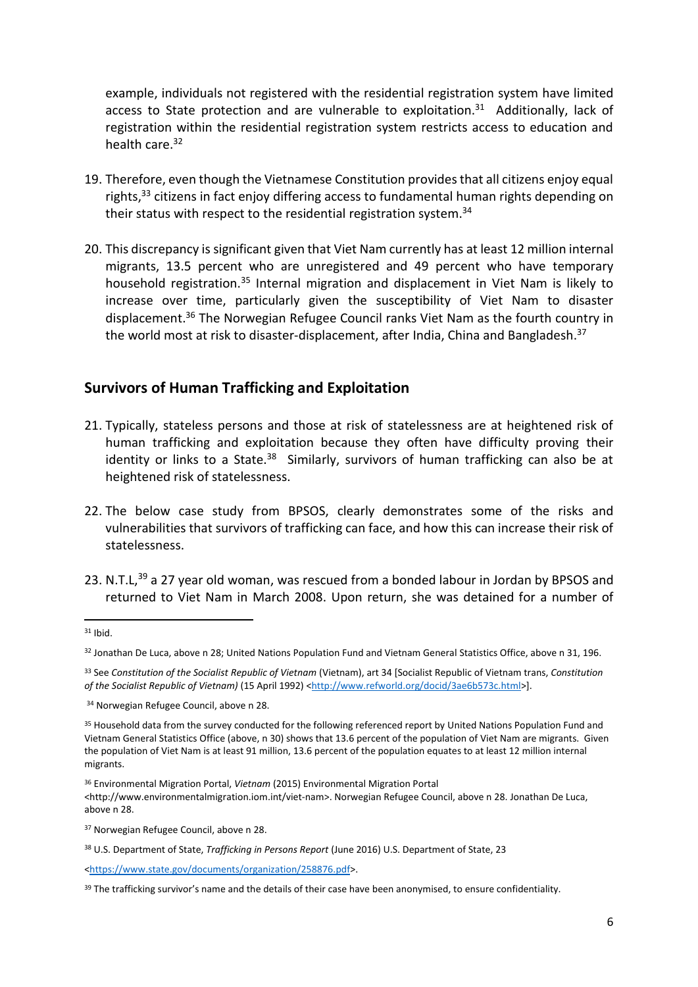example, individuals not registered with the residential registration system have limited access to State protection and are vulnerable to exploitation.<sup>31</sup> Additionally, lack of registration within the residential registration system restricts access to education and health care.<sup>32</sup>

- 19. Therefore, even though the Vietnamese Constitution provides that all citizens enjoy equal rights,<sup>33</sup> citizens in fact enjoy differing access to fundamental human rights depending on their status with respect to the residential registration system.<sup>34</sup>
- 20. This discrepancy is significant given that Viet Nam currently has at least 12 million internal migrants, 13.5 percent who are unregistered and 49 percent who have temporary household registration.<sup>35</sup> Internal migration and displacement in Viet Nam is likely to increase over time, particularly given the susceptibility of Viet Nam to disaster displacement.<sup>36</sup> The Norwegian Refugee Council ranks Viet Nam as the fourth country in the world most at risk to disaster-displacement, after India, China and Bangladesh.<sup>37</sup>

#### **Survivors of Human Trafficking and Exploitation**

- 21. Typically, stateless persons and those at risk of statelessness are at heightened risk of human trafficking and exploitation because they often have difficulty proving their identity or links to a State. $38$  Similarly, survivors of human trafficking can also be at heightened risk of statelessness.
- 22. The below case study from BPSOS, clearly demonstrates some of the risks and vulnerabilities that survivors of trafficking can face, and how this can increase their risk of statelessness.
- 23. N.T.L,<sup>39</sup> a 27 year old woman, was rescued from a bonded labour in Jordan by BPSOS and returned to Viet Nam in March 2008. Upon return, she was detained for a number of

 $31$  Ibid.

<sup>32</sup> Jonathan De Luca, above n 28; United Nations Population Fund and Vietnam General Statistics Office, above n 31, 196.

<sup>33</sup> See *Constitution of the Socialist Republic of Vietnam* (Vietnam), art 34 [Socialist Republic of Vietnam trans, *Constitution of the Socialist Republic of Vietnam)* (15 April 1992) [<http://www.refworld.org/docid/3ae6b573c.html>](http://www.refworld.org/docid/3ae6b573c.html)].

<sup>34</sup> Norwegian Refugee Council, above n 28.

<sup>35</sup> Household data from the survey conducted for the following referenced report by United Nations Population Fund and Vietnam General Statistics Office (above, n 30) shows that 13.6 percent of the population of Viet Nam are migrants. Given the population of Viet Nam is at least 91 million, 13.6 percent of the population equates to at least 12 million internal migrants.

<sup>36</sup> Environmental Migration Portal, *Vietnam* (2015) Environmental Migration Portal

<sup>&</sup>lt;http://www.environmentalmigration.iom.int/viet-nam>. Norwegian Refugee Council, above n 28. Jonathan De Luca, above n 28.

<sup>37</sup> Norwegian Refugee Council, above n 28.

<sup>38</sup> U.S. Department of State, *Trafficking in Persons Report* (June 2016) U.S. Department of State, 23

[<sup>&</sup>lt;https://www.state.gov/documents/organization/258876.pdf>](https://www.state.gov/documents/organization/258876.pdf).

<sup>&</sup>lt;sup>39</sup> The trafficking survivor's name and the details of their case have been anonymised, to ensure confidentiality.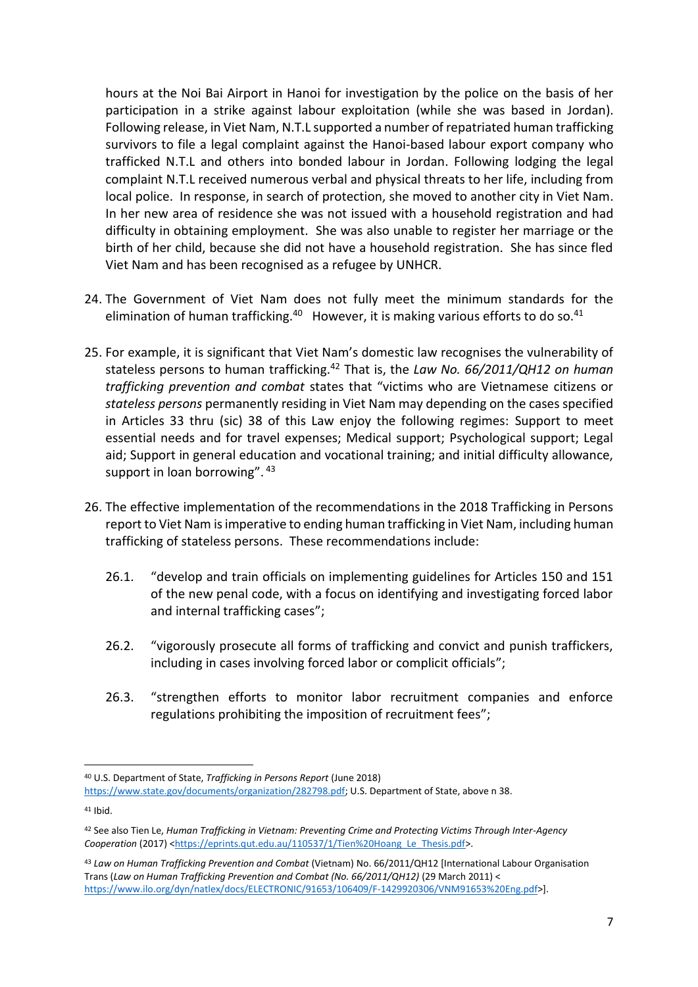hours at the Noi Bai Airport in Hanoi for investigation by the police on the basis of her participation in a strike against labour exploitation (while she was based in Jordan). Following release, in Viet Nam, N.T.L supported a number of repatriated human trafficking survivors to file a legal complaint against the Hanoi-based labour export company who trafficked N.T.L and others into bonded labour in Jordan. Following lodging the legal complaint N.T.L received numerous verbal and physical threats to her life, including from local police. In response, in search of protection, she moved to another city in Viet Nam. In her new area of residence she was not issued with a household registration and had difficulty in obtaining employment. She was also unable to register her marriage or the birth of her child, because she did not have a household registration. She has since fled Viet Nam and has been recognised as a refugee by UNHCR.

- 24. The Government of Viet Nam does not fully meet the minimum standards for the elimination of human trafficking. $40$  However, it is making various efforts to do so. $41$
- 25. For example, it is significant that Viet Nam's domestic law recognises the vulnerability of stateless persons to human trafficking.<sup>42</sup> That is, the *Law No. 66/2011/QH12 on human trafficking prevention and combat* states that "victims who are Vietnamese citizens or *stateless persons* permanently residing in Viet Nam may depending on the cases specified in Articles 33 thru (sic) 38 of this Law enjoy the following regimes: Support to meet essential needs and for travel expenses; Medical support; Psychological support; Legal aid; Support in general education and vocational training; and initial difficulty allowance, support in loan borrowing". 43
- 26. The effective implementation of the recommendations in the 2018 Trafficking in Persons report to Viet Nam is imperative to ending human trafficking in Viet Nam, including human trafficking of stateless persons. These recommendations include:
	- 26.1. "develop and train officials on implementing guidelines for Articles 150 and 151 of the new penal code, with a focus on identifying and investigating forced labor and internal trafficking cases";
	- 26.2. "vigorously prosecute all forms of trafficking and convict and punish traffickers, including in cases involving forced labor or complicit officials";
	- 26.3. "strengthen efforts to monitor labor recruitment companies and enforce regulations prohibiting the imposition of recruitment fees";

<sup>40</sup> U.S. Department of State, *Trafficking in Persons Report* (June 2018) [https://www.state.gov/documents/organization/282798.pdf;](https://www.state.gov/documents/organization/282798.pdf) U.S. Department of State, above n 38.

<sup>41</sup> Ibid.

<sup>42</sup> See also Tien Le, *Human Trafficking in Vietnam: Preventing Crime and Protecting Victims Through Inter-Agency Cooperation* (2017) [<https://eprints.qut.edu.au/110537/1/Tien%20Hoang\\_Le\\_Thesis.pdf>](https://eprints.qut.edu.au/110537/1/Tien%20Hoang_Le_Thesis.pdf).

<sup>43</sup> *Law on Human Trafficking Prevention and Combat* (Vietnam) No. 66/2011/QH12 [International Labour Organisation Trans (*Law on Human Trafficking Prevention and Combat (No. 66/2011/QH12)* (29 March 2011) < [https://www.ilo.org/dyn/natlex/docs/ELECTRONIC/91653/106409/F-1429920306/VNM91653%20Eng.pdf>](https://www.ilo.org/dyn/natlex/docs/ELECTRONIC/91653/106409/F-1429920306/VNM91653%20Eng.pdf)].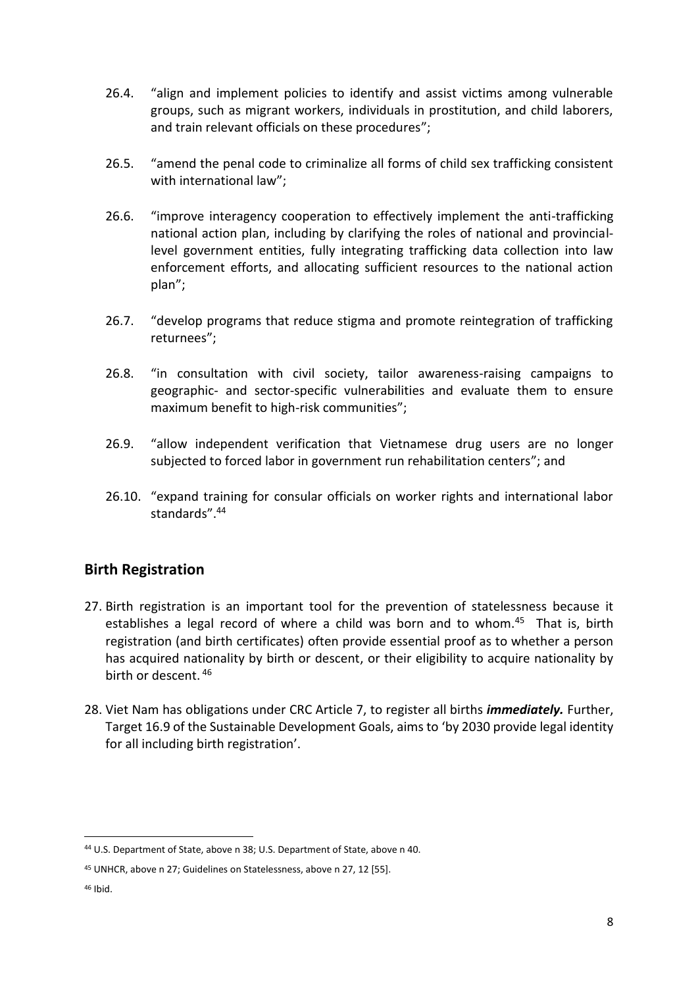- 26.4. "align and implement policies to identify and assist victims among vulnerable groups, such as migrant workers, individuals in prostitution, and child laborers, and train relevant officials on these procedures";
- 26.5. "amend the penal code to criminalize all forms of child sex trafficking consistent with international law";
- 26.6. "improve interagency cooperation to effectively implement the anti-trafficking national action plan, including by clarifying the roles of national and provinciallevel government entities, fully integrating trafficking data collection into law enforcement efforts, and allocating sufficient resources to the national action plan";
- 26.7. "develop programs that reduce stigma and promote reintegration of trafficking returnees";
- 26.8. "in consultation with civil society, tailor awareness-raising campaigns to geographic- and sector-specific vulnerabilities and evaluate them to ensure maximum benefit to high-risk communities";
- 26.9. "allow independent verification that Vietnamese drug users are no longer subjected to forced labor in government run rehabilitation centers"; and
- 26.10. "expand training for consular officials on worker rights and international labor standards". 44

### **Birth Registration**

- 27. Birth registration is an important tool for the prevention of statelessness because it establishes a legal record of where a child was born and to whom.<sup>45</sup> That is, birth registration (and birth certificates) often provide essential proof as to whether a person has acquired nationality by birth or descent, or their eligibility to acquire nationality by birth or descent. <sup>46</sup>
- 28. Viet Nam has obligations under CRC Article 7, to register all births *immediately.* Further, Target 16.9 of the Sustainable Development Goals, aims to 'by 2030 provide legal identity for all including birth registration'.

<sup>44</sup> U.S. Department of State, above n 38; U.S. Department of State, above n 40.

<sup>45</sup> UNHCR, above n 27; Guidelines on Statelessness, above n 27, 12 [55].

<sup>46</sup> Ibid.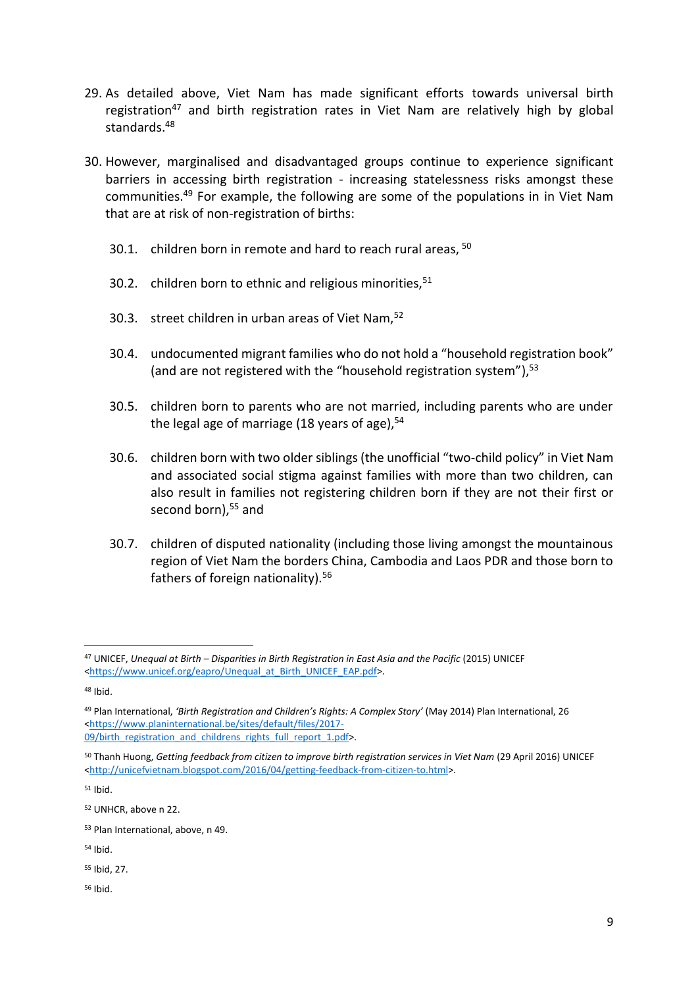- 29. As detailed above, Viet Nam has made significant efforts towards universal birth registration<sup>47</sup> and birth registration rates in Viet Nam are relatively high by global standards<sup>48</sup>
- 30. However, marginalised and disadvantaged groups continue to experience significant barriers in accessing birth registration - increasing statelessness risks amongst these communities. <sup>49</sup> For example, the following are some of the populations in in Viet Nam that are at risk of non-registration of births:
	- 30.1. children born in remote and hard to reach rural areas, <sup>50</sup>
	- 30.2. children born to ethnic and religious minorities,  $51$
	- 30.3. street children in urban areas of Viet Nam,<sup>52</sup>
	- 30.4. undocumented migrant families who do not hold a "household registration book" (and are not registered with the "household registration system"), 53
	- 30.5. children born to parents who are not married, including parents who are under the legal age of marriage (18 years of age),<sup>54</sup>
	- 30.6. children born with two older siblings (the unofficial "two-child policy" in Viet Nam and associated social stigma against families with more than two children, can also result in families not registering children born if they are not their first or second born), <sup>55</sup> and
	- 30.7. children of disputed nationality (including those living amongst the mountainous region of Viet Nam the borders China, Cambodia and Laos PDR and those born to fathers of foreign nationality).<sup>56</sup>

<sup>51</sup> Ibid.

<sup>55</sup> Ibid, 27.

<sup>56</sup> Ibid.

<sup>1</sup> <sup>47</sup> UNICEF, *Unequal at Birth – Disparities in Birth Registration in East Asia and the Pacific* (2015) UNICEF [<https://www.unicef.org/eapro/Unequal\\_at\\_Birth\\_UNICEF\\_EAP.pdf>](https://www.unicef.org/eapro/Unequal_at_Birth_UNICEF_EAP.pdf).

<sup>48</sup> Ibid.

<sup>49</sup> Plan International, *'Birth Registration and Children's Rights: A Complex Story'* (May 2014) Plan International, 26 [<https://www.planinternational.be/sites/default/files/2017-](https://www.planinternational.be/sites/default/files/2017-09/birth_registration_and_childrens_rights_full_report_1.pdf) [09/birth\\_registration\\_and\\_childrens\\_rights\\_full\\_report\\_1.pdf>](https://www.planinternational.be/sites/default/files/2017-09/birth_registration_and_childrens_rights_full_report_1.pdf).

<sup>50</sup> Thanh Huong, *Getting feedback from citizen to improve birth registration services in Viet Nam* (29 April 2016) UNICEF [<http://unicefvietnam.blogspot.com/2016/04/getting-feedback-from-citizen-to.html>](http://unicefvietnam.blogspot.com/2016/04/getting-feedback-from-citizen-to.html).

<sup>52</sup> UNHCR, above n 22.

<sup>53</sup> Plan International, above, n 49.

<sup>54</sup> Ibid.